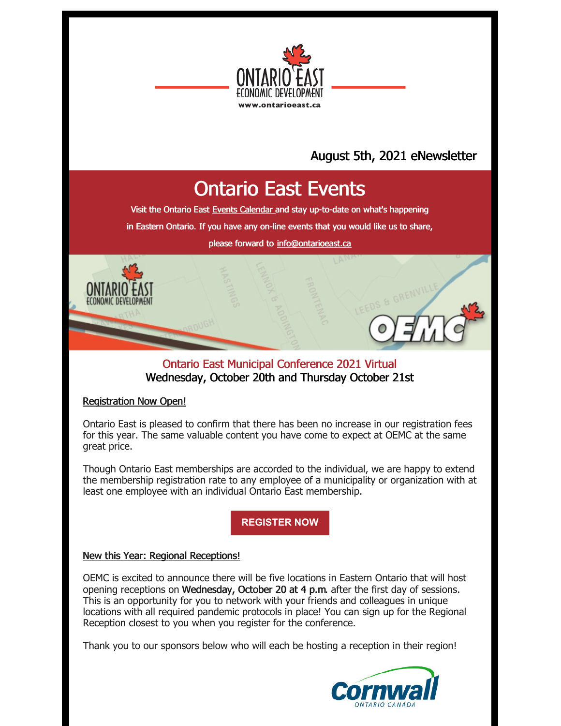

## August 5th, 2021 eNewsletter

# Ontario East Events

Visit the Ontario East Events [Calendar](https://ontarioeast.ca/events) and stay up-to-date on what's happening

in Eastern Ontario. If you have any on-line events that you would like us to share,

please forward to [info@ontarioeast.ca](mailto:info@ontarioeast.ca)

### Ontario East Municipal Conference 2021 Virtual Wednesday, October 20th and Thursday October 21st

#### Registration Now Open!

Ontario East is pleased to confirm that there has been no increase in our registration fees for this year. The same valuable content you have come to expect at OEMC at the same great price.

Though Ontario East memberships are accorded to the individual, we are happy to extend the membership registration rate to any employee of a municipality or organization with at least one employee with an individual Ontario East membership.

**[REGISTER](https://oemc.ca/2021-registration/) NOW**

#### New this Year: Regional Receptions!

OEMC is excited to announce there will be five locations in Eastern Ontario that will host opening receptions on Wednesday, October 20 at 4 p.m. after the first day of sessions. This is an opportunity for you to network with your friends and colleagues in unique locations with all required pandemic protocols in place! You can sign up for the Regional Reception closest to you when you register for the conference.

Thank you to our sponsors below who will each be hosting a reception in their region!

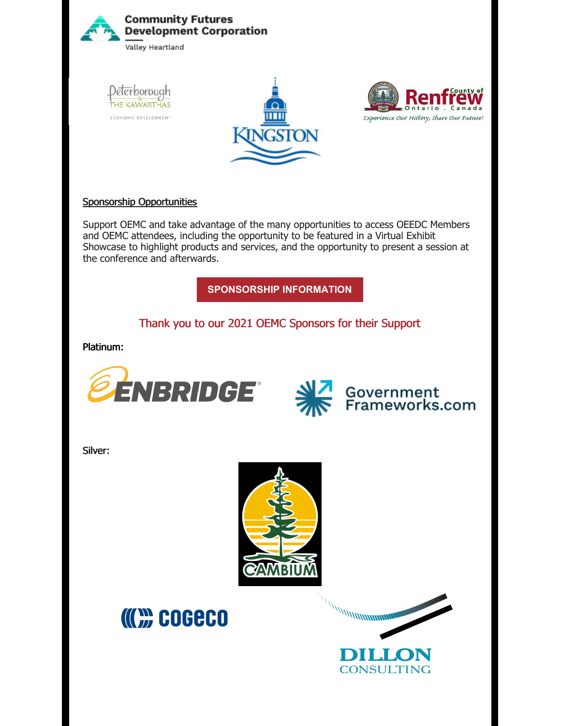

#### Sponsorship Opportunities

Support OEMC and take advantage of the many opportunities to access OEEDC Members and OEMC attendees, including the opportunity to be featured in a Virtual Exhibit Showcase to highlight products and services, and the opportunity to present a session at the conference and afterwards.

**[SPONSORSHIP](https://oemc.ca/2021-sponsorship-opportunities/) INFORMATION**

Thank you to our 2021 OEMC Sponsors for their Support

Platinum:





Silver:





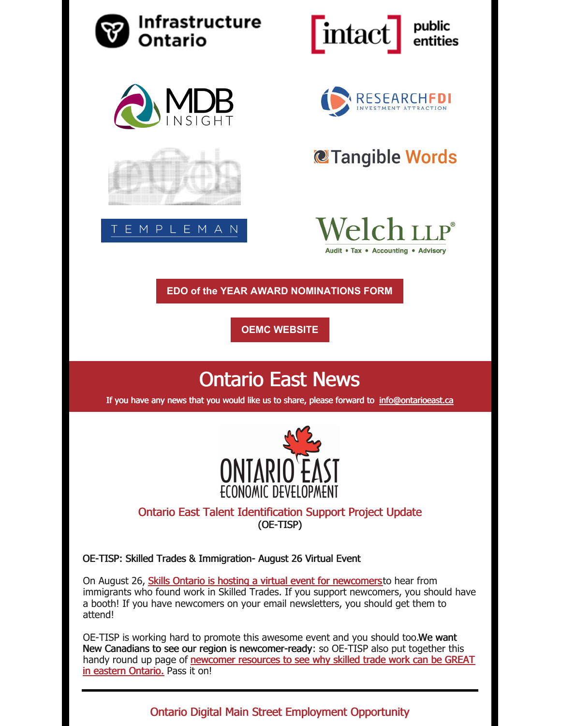

Ontario Digital Main Street Employment Opportunity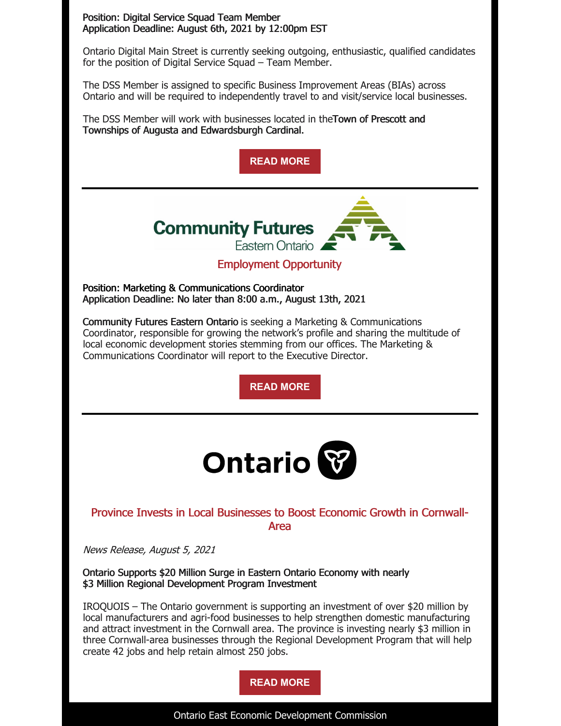